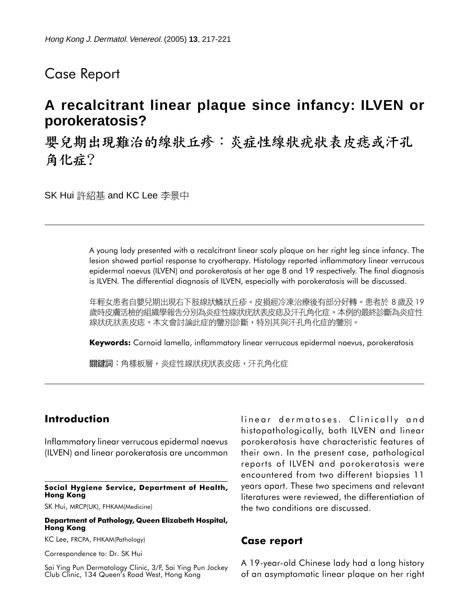## Case Report

# **A recalcitrant linear plaque since infancy: ILVEN or porokeratosis?**

嬰兒期出現難治的線狀丘疹︰炎症性線狀疣狀表皮痣或汗孔 角化症?

SK Hui 許紹基 and KC Lee 李景中

A young lady presented with a recalcitrant linear scaly plaque on her right leg since infancy. The lesion showed partial response to cryotherapy. Histology reported inflammatory linear verrucous epidermal naevus (ILVEN) and porokeratosis at her age 8 and 19 respectively. The final diagnosis is ILVEN. The differential diagnosis of ILVEN, especially with porokeratosis will be discussed.

年輕女患者自嬰兒期出現右下肢線狀鱗狀丘疹。皮損經冷凍治療後有部分好轉。患者於 8 歲及 19 歲時皮膚活檢的組織學報告分別為炎症性線狀疣狀表皮痣及汗孔角化症。本例的最終診斷為炎症性 線狀疣狀表皮痣。本文會討論此症的鑒別診斷,特別其與汗孔角化症的鑒別。

**Keywords:** Cornoid lamella, inflammatory linear verrucous epidermal naevus, porokeratosis

關鍵詞:角樣板層,炎症性線狀疣狀表皮痣,汗孔角化症

## **Introduction**

Inflammatory linear verrucous epidermal naevus (ILVEN) and linear porokeratosis are uncommon

#### **Social Hygiene Service, Department of Health, Hong Kong**

SK Hui, MRCP(UK), FHKAM(Medicine)

#### **Department of Pathology, Queen Elizabeth Hospital, Hong Kong**

KC Lee, FRCPA, FHKAM(Pathology)

Correspondence to: Dr. SK Hui

Sai Ying Pun Dermatology Clinic, 3/F, Sai Ying Pun Jockey Club Clinic, 134 Queen's Road West, Hong Kong

linear dermatoses. Clinically and histopathologically, both ILVEN and linear porokeratosis have characteristic features of their own. In the present case, pathological reports of ILVEN and porokeratosis were encountered from two different biopsies 11 years apart. These two specimens and relevant literatures were reviewed, the differentiation of the two conditions are discussed.

### **Case report**

A 19-year-old Chinese lady had a long history of an asymptomatic linear plaque on her right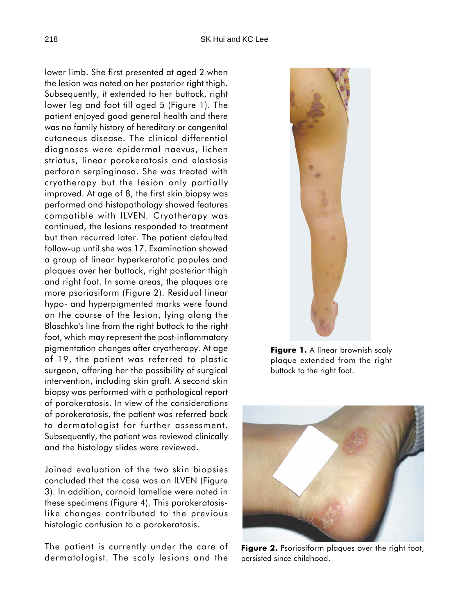lower limb. She first presented at aged 2 when the lesion was noted on her posterior right thigh. Subsequently, it extended to her buttock, right lower leg and foot till aged 5 (Figure 1). The patient enjoyed good general health and there was no family history of hereditary or congenital cutaneous disease. The clinical differential diagnoses were epidermal naevus, lichen striatus, linear porokeratosis and elastosis perforan serpinginosa. She was treated with cryotherapy but the lesion only partially improved. At age of 8, the first skin biopsy was performed and histopathology showed features compatible with ILVEN. Cryotherapy was continued, the lesions responded to treatment but then recurred later. The patient defaulted follow-up until she was 17. Examination showed a group of linear hyperkeratotic papules and plaques over her buttock, right posterior thigh and right foot. In some areas, the plaques are more psoriasiform (Figure 2). Residual linear hypo- and hyperpigmented marks were found on the course of the lesion, lying along the Blaschko's line from the right buttock to the right foot, which may represent the post-inflammatory pigmentation changes after cryotherapy. At age of 19, the patient was referred to plastic surgeon, offering her the possibility of surgical intervention, including skin graft. A second skin biopsy was performed with a pathological report of porokeratosis. In view of the considerations of porokeratosis, the patient was referred back to dermatologist for further assessment. Subsequently, the patient was reviewed clinically and the histology slides were reviewed.

Joined evaluation of the two skin biopsies concluded that the case was an ILVEN (Figure 3). In addition, cornoid lamellae were noted in these specimens (Figure 4). This porokeratosislike changes contributed to the previous histologic confusion to a porokeratosis.

The patient is currently under the care of dermatologist. The scaly lesions and the



**Figure 1.** A linear brownish scaly plaque extended from the right buttock to the right foot.



**Figure 2.** Psoriasiform plaques over the right foot, persisted since childhood.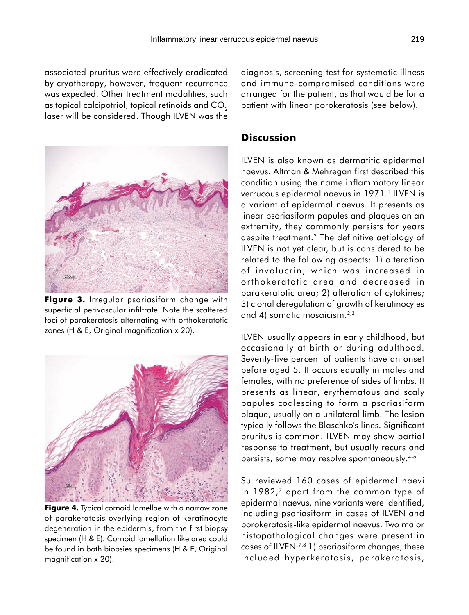associated pruritus were effectively eradicated by cryotherapy, however, frequent recurrence was expected. Other treatment modalities, such as topical calcipotriol, topical retinoids and CO<sub>2</sub> laser will be considered. Though ILVEN was the



**Figure 3.** Irregular psoriasiform change with superficial perivascular infiltrate. Note the scattered foci of parakeratosis alternating with orthokeratotic zones (H & E, Original magnification x 20).



**Figure 4.** Typical cornoid lamellae with a narrow zone of parakeratosis overlying region of keratinocyte degeneration in the epidermis, from the first biopsy specimen (H & E). Cornoid lamellation like area could be found in both biopsies specimens (H & E, Original magnification x 20).

diagnosis, screening test for systematic illness and immune-compromised conditions were arranged for the patient, as that would be for a patient with linear porokeratosis (see below).

## **Discussion**

ILVEN is also known as dermatitic epidermal naevus. Altman & Mehregan first described this condition using the name inflammatory linear verrucous epidermal naevus in 1971.<sup>1</sup> ILVEN is a variant of epidermal naevus. It presents as linear psoriasiform papules and plaques on an extremity, they commonly persists for years despite treatment.2 The definitive aetiology of ILVEN is not yet clear, but is considered to be related to the following aspects: 1) alteration of involucrin, which was increased in orthokeratotic area and decreased in parakeratotic area; 2) alteration of cytokines; 3) clonal deregulation of growth of keratinocytes and 4) somatic mosaicism.<sup>2,3</sup>

ILVEN usually appears in early childhood, but occasionally at birth or during adulthood. Seventy-five percent of patients have an onset before aged 5. It occurs equally in males and females, with no preference of sides of limbs. It presents as linear, erythematous and scaly papules coalescing to form a psoriasiform plaque, usually on a unilateral limb. The lesion typically follows the Blaschko's lines. Significant pruritus is common. ILVEN may show partial response to treatment, but usually recurs and persists, some may resolve spontaneously.4-6

Su reviewed 160 cases of epidermal naevi in 1982,<sup>7</sup> apart from the common type of epidermal naevus, nine variants were identified, including psoriasiform in cases of ILVEN and porokeratosis-like epidermal naevus. Two major histopathological changes were present in cases of ILVEN:7,8 1) psoriasiform changes, these included hyperkeratosis, parakeratosis,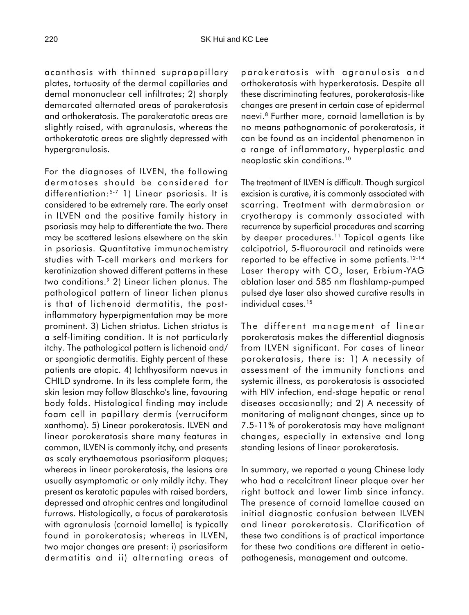acanthosis with thinned suprapapillary plates, tortuosity of the dermal capillaries and demal mononuclear cell infiltrates; 2) sharply demarcated alternated areas of parakeratosis and orthokeratosis. The parakeratotic areas are slightly raised, with agranulosis, whereas the orthokeratotic areas are slightly depressed with hypergranulosis.

For the diagnoses of ILVEN, the following dermatoses should be considered for differentiation:5-7 1) Linear psoriasis. It is considered to be extremely rare. The early onset in ILVEN and the positive family history in psoriasis may help to differentiate the two. There may be scattered lesions elsewhere on the skin in psoriasis. Quantitative immunochemistry studies with T-cell markers and markers for keratinization showed different patterns in these two conditions.9 2) Linear lichen planus. The pathological pattern of linear lichen planus is that of lichenoid dermatitis, the postinflammatory hyperpigmentation may be more prominent. 3) Lichen striatus. Lichen striatus is a self-limiting condition. It is not particularly itchy. The pathological pattern is lichenoid and/ or spongiotic dermatitis. Eighty percent of these patients are atopic. 4) Ichthyosiform naevus in CHILD syndrome. In its less complete form, the skin lesion may follow Blaschko's line, favouring body folds. Histological finding may include foam cell in papillary dermis (verruciform xanthoma). 5) Linear porokeratosis. ILVEN and linear porokeratosis share many features in common, ILVEN is commonly itchy, and presents as scaly erythaematous psoriasiform plaques; whereas in linear porokeratosis, the lesions are usually asymptomatic or only mildly itchy. They present as keratotic papules with raised borders, depressed and atrophic centres and longitudinal furrows. Histologically, a focus of parakeratosis with agranulosis (cornoid lamella) is typically found in porokeratosis; whereas in ILVEN, two major changes are present: i) psoriasiform dermatitis and ii) alternating areas of parakeratosis with agranulosis and orthokeratosis with hyperkeratosis. Despite all these discriminating features, porokeratosis-like changes are present in certain case of epidermal naevi.8 Further more, cornoid lamellation is by no means pathognomonic of porokeratosis, it can be found as an incidental phenomenon in a range of inflammatory, hyperplastic and neoplastic skin conditions.10

The treatment of ILVEN is difficult. Though surgical excision is curative, it is commonly associated with scarring. Treatment with dermabrasion or cryotherapy is commonly associated with recurrence by superficial procedures and scarring by deeper procedures.<sup>11</sup> Topical agents like calcipotriol, 5-fluorouracil and retinoids were reported to be effective in some patients.12-14 Laser therapy with  $CO<sub>2</sub>$  laser, Erbium-YAG ablation laser and 585 nm flashlamp-pumped pulsed dye laser also showed curative results in individual cases.<sup>15</sup>

The different management of linear porokeratosis makes the differential diagnosis from ILVEN significant. For cases of linear porokeratosis, there is: 1) A necessity of assessment of the immunity functions and systemic illness, as porokeratosis is associated with HIV infection, end-stage hepatic or renal diseases occasionally; and 2) A necessity of monitoring of malignant changes, since up to 7.5-11% of porokeratosis may have malignant changes, especially in extensive and long standing lesions of linear porokeratosis.

In summary, we reported a young Chinese lady who had a recalcitrant linear plaque over her right buttock and lower limb since infancy. The presence of cornoid lamellae caused an initial diagnostic confusion between ILVEN and linear porokeratosis. Clarification of these two conditions is of practical importance for these two conditions are different in aetiopathogenesis, management and outcome.